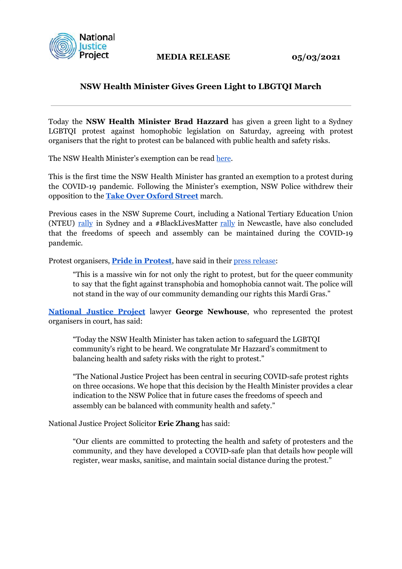

**MEDIA RELEASE** 05/03/2021

## **NSW Health Minister Gives Green Light to LBGTQI March**

Today the **NSW Health Minister Brad Hazzard** has given a green light to a Sydney LGBTQI protest against homophobic legislation on Saturday, agreeing with protest organisers that the right to protest can be balanced with public health and safety risks.

The NSW Health Minister's exemption can be read [here](https://justice.org.au/wp-content/uploads/2021/03/Exemption_Mardi-Gras.pdf).

This is the first time the NSW Health Minister has granted an exemption to a protest during the COVID-19 pandemic. Following the Minister's exemption, NSW Police withdrew their opposition to the **[Take Over Oxford Street](https://www.facebook.com/events/taylor-square-sydney/mardi-gras-march-2021-take-over-oxford-street/2815059185430779/)** march.

Previous cases in the NSW Supreme Court, including a National Tertiary Education Union (NTEU[\) rally](https://justice.org.au/nsw-supreme-court-recognises-right-to-protest-during-covid19/) in Sydney and a #BlackLivesMatter [rally](https://www.newcastleherald.com.au/story/6818829/court-authorises-newcastle-blm-protest/) in Newcastle, have also concluded that the freedoms of speech and assembly can be maintained during the COVID-19 pandemic.

Protest organisers, **[Pride in Protest](https://www.facebook.com/PrideInProtest)**, have said in their [press release:](https://www.facebook.com/PrideInProtest/posts/3726819647398188)

"This is a massive win for not only the right to protest, but for the queer community to say that the fight against transphobia and homophobia cannot wait. The police will not stand in the way of our community demanding our rights this Mardi Gras."

**[National Justice Project](https://justice.org.au/)** lawyer **George Newhouse**, who represented the protest organisers in court, has said:

"Today the NSW Health Minister has taken action to safeguard the LGBTQI community's right to be heard. We congratulate Mr Hazzard's commitment to balancing health and safety risks with the right to protest."

"The National Justice Project has been central in securing COVID-safe protest rights on three occasions. We hope that this decision by the Health Minister provides a clear indication to the NSW Police that in future cases the freedoms of speech and assembly can be balanced with community health and safety."

National Justice Project Solicitor **Eric Zhang** has said:

"Our clients are committed to protecting the health and safety of protesters and the community, and they have developed a COVID-safe plan that details how people will register, wear masks, sanitise, and maintain social distance during the protest."